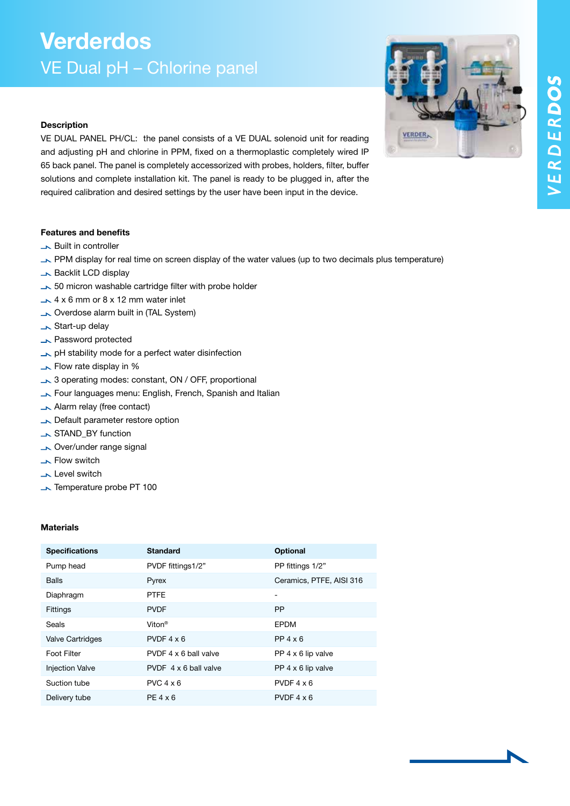**VERDER** 

## Verderdos VE Dual pH – Chlorine panel

### **Description**

VE DUAL PANEL PH/CL: the panel consists of a VE DUAL solenoid unit for reading and adjusting pH and chlorine in PPM, fixed on a thermoplastic completely wired IP 65 back panel. The panel is completely accessorized with probes, holders, filter, buffer solutions and complete installation kit. The panel is ready to be plugged in, after the required calibration and desired settings by the user have been input in the device.

### Features and benefits

- **Built in controller**
- PPM display for real time on screen display of the water values (up to two decimals plus temperature)
- **Backlit LCD display**
- $\sim$  50 micron washable cartridge filter with probe holder
- $\sim$  4 x 6 mm or 8 x 12 mm water inlet
- Overdose alarm built in (TAL System)
- Start-up delay
- **No. Password protected**
- $\rightarrow$  pH stability mode for a perfect water disinfection
- **Flow rate display in %**
- $\rightarrow$  3 operating modes: constant, ON / OFF, proportional
- Four languages menu: English, French, Spanish and Italian
- Alarm relay (free contact)
- Default parameter restore option
- STAND\_BY function
- Over/under range signal
- **Flow switch**
- **Level switch**
- Temperature probe PT 100

### **Materials**

| <b>Specifications</b>   | <b>Standard</b>       | <b>Optional</b>              |
|-------------------------|-----------------------|------------------------------|
| Pump head               | PVDF fittings1/2"     | PP fittings 1/2"             |
| <b>Balls</b>            | Pyrex                 | Ceramics, PTFE, AISI 316     |
| Diaphragm               | <b>PTFE</b>           | $\qquad \qquad \blacksquare$ |
| Fittings                | <b>PVDF</b>           | <b>PP</b>                    |
| Seals                   | Viton <sup>®</sup>    | <b>EPDM</b>                  |
| <b>Valve Cartridges</b> | $PVDF 4 \times 6$     | $PP$ 4 $\times$ 6            |
| Foot Filter             | PVDF 4 x 6 ball valve | PP $4 \times 6$ lip valve    |
| <b>Injection Valve</b>  | PVDF 4 x 6 ball valve | PP 4 x 6 lip valve           |
| Suction tube            | $PVC$ 4 $\times$ 6    | PVDF $4 \times 6$            |
| Delivery tube           | $PE 4 \times 6$       | PVDF $4 \times 6$            |